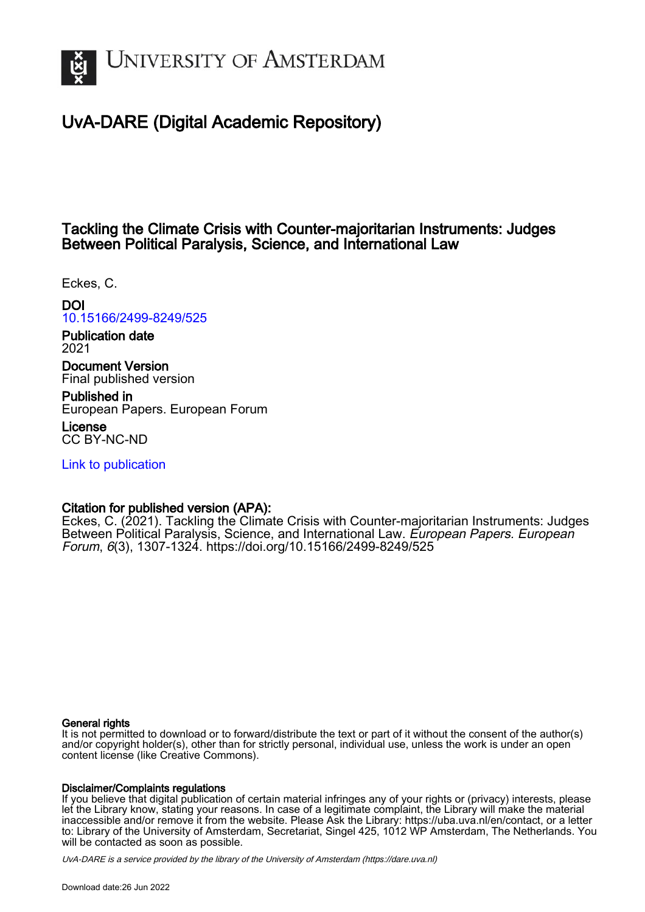

# UvA-DARE (Digital Academic Repository)

## Tackling the Climate Crisis with Counter-majoritarian Instruments: Judges Between Political Paralysis, Science, and International Law

Eckes, C.

DOI

[10.15166/2499-8249/525](https://doi.org/10.15166/2499-8249/525)

Publication date 2021

Document Version Final published version

Published in European Papers. European Forum

License CC BY-NC-ND

[Link to publication](https://dare.uva.nl/personal/pure/en/publications/tackling-the-climate-crisis-with-countermajoritarian-instruments-judges-between-political-paralysis-science-and-international-law(f87b7607-8d50-4810-9db1-4ad34d3880d5).html)

## Citation for published version (APA):

Eckes, C. (2021). Tackling the Climate Crisis with Counter-majoritarian Instruments: Judges Between Political Paralysis, Science, and International Law. European Papers. European Forum, 6(3), 1307-1324.<https://doi.org/10.15166/2499-8249/525>

#### General rights

It is not permitted to download or to forward/distribute the text or part of it without the consent of the author(s) and/or copyright holder(s), other than for strictly personal, individual use, unless the work is under an open content license (like Creative Commons).

#### Disclaimer/Complaints regulations

If you believe that digital publication of certain material infringes any of your rights or (privacy) interests, please let the Library know, stating your reasons. In case of a legitimate complaint, the Library will make the material inaccessible and/or remove it from the website. Please Ask the Library: https://uba.uva.nl/en/contact, or a letter to: Library of the University of Amsterdam, Secretariat, Singel 425, 1012 WP Amsterdam, The Netherlands. You will be contacted as soon as possible.

UvA-DARE is a service provided by the library of the University of Amsterdam (http*s*://dare.uva.nl)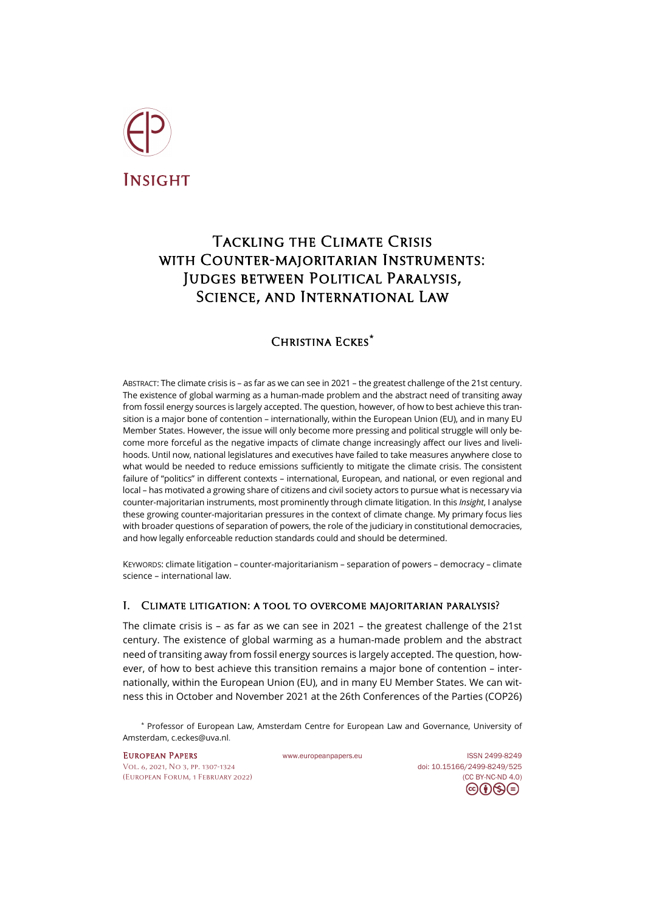

# Tackling the Climate Crisis with Counter-majoritarian Instruments: Judges between Political Paralysis, Science, and International Law

# Christina Eckes**[\\*](#page-1-0)**

ABSTRACT: The climate crisis is – as far as we can see in 2021 – the greatest challenge of the 21st century. The existence of global warming as a human-made problem and the abstract need of transiting away from fossil energy sources is largely accepted. The question, however, of how to best achieve this transition is a major bone of contention – internationally, within the European Union (EU), and in many EU Member States. However, the issue will only become more pressing and political struggle will only become more forceful as the negative impacts of climate change increasingly affect our lives and livelihoods. Until now, national legislatures and executives have failed to take measures anywhere close to what would be needed to reduce emissions sufficiently to mitigate the climate crisis. The consistent failure of "politics" in different contexts – international, European, and national, or even regional and local – has motivated a growing share of citizens and civil society actors to pursue what is necessary via counter-majoritarian instruments, most prominently through climate litigation. In this *Insight*, I analyse these growing counter-majoritarian pressures in the context of climate change. My primary focus lies with broader questions of separation of powers, the role of the judiciary in constitutional democracies, and how legally enforceable reduction standards could and should be determined.

KEYWORDS: climate litigation – counter-majoritarianism – separation of powers – democracy – climate science – international law.

## I. Climate litigation: a tool to overcome majoritarian paralysis?

The climate crisis is – as far as we can see in 2021 – the greatest challenge of the 21st century. The existence of global warming as a human-made problem and the abstract need of transiting away from fossil energy sources is largely accepted. The question, however, of how to best achieve this transition remains a major bone of contention – internationally, within the European Union (EU), and in many EU Member States. We can witness this in October and November 2021 at the 26th Conferences of the Parties (COP26)

<span id="page-1-0"></span>\* Professor of European Law, Amsterdam Centre for European Law and Governance, University of Amsterdam[, c.eckes@uva.nl.](mailto:c.eckes@uva.nl.)

[Vol. 6, 2021, No 3,](https://www.europeanpapers.eu/en/content/e-journal/EP_eJ_2021_3) pp. 1307-1324 doi[: 10.15166/2499-8249/525](https://search.datacite.org/works/10.15166/2499-8249/525) [\(European](http://www.europeanpapers.eu/en/content/european-forum) Forum, 1 February 2022) [\(CC BY-NC-ND 4.0\)](https://creativecommons.org/licenses/by-nc-nd/4.0/)

EUROPEAN PAPERS WWW.europeanpapers.eu ISS[N 2499-8249](https://search.datacite.org/works?query=www.europeanpapers.eu)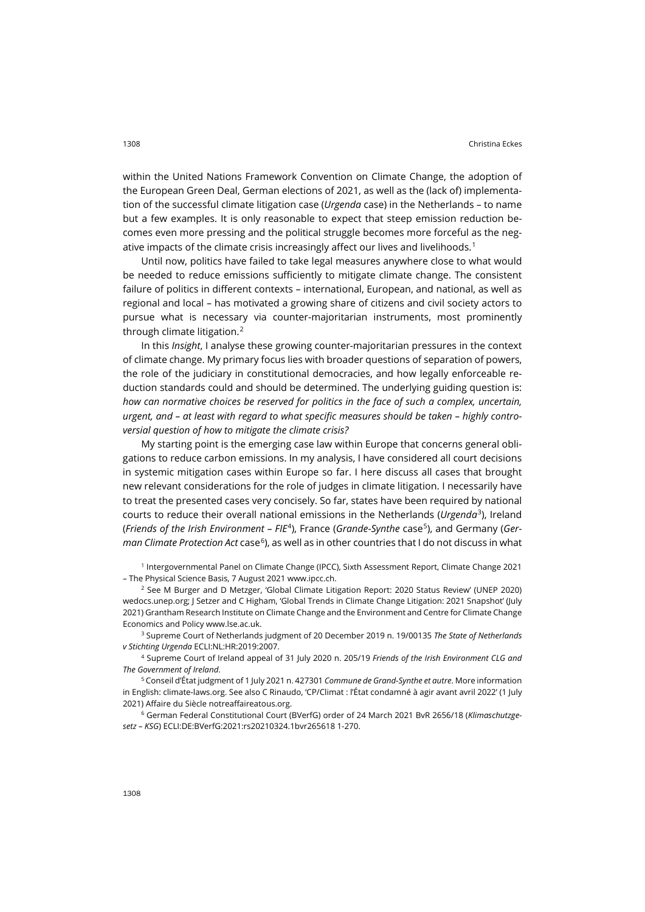within the United Nations Framework Convention on Climate Change, the adoption of the European Green Deal, German elections of 2021, as well as the (lack of) implementation of the successful climate litigation case (*Urgenda* case) in the Netherlands – to name but a few examples. It is only reasonable to expect that steep emission reduction becomes even more pressing and the political struggle becomes more forceful as the neg-ative impacts of the climate crisis increasingly affect our lives and livelihoods.<sup>[1](#page-2-0)</sup>

Until now, politics have failed to take legal measures anywhere close to what would be needed to reduce emissions sufficiently to mitigate climate change. The consistent failure of politics in different contexts – international, European, and national, as well as regional and local – has motivated a growing share of citizens and civil society actors to pursue what is necessary via counter-majoritarian instruments, most prominently through climate litigation.<sup>[2](#page-2-1)</sup>

In this *Insight*, I analyse these growing counter-majoritarian pressures in the context of climate change. My primary focus lies with broader questions of separation of powers, the role of the judiciary in constitutional democracies, and how legally enforceable reduction standards could and should be determined. The underlying guiding question is: *how can normative choices be reserved for politics in the face of such a complex, uncertain, urgent, and – at least with regard to what specific measures should be taken – highly controversial question of how to mitigate the climate crisis?*

My starting point is the emerging case law within Europe that concerns general obligations to reduce carbon emissions. In my analysis, I have considered all court decisions in systemic mitigation cases within Europe so far. I here discuss all cases that brought new relevant considerations for the role of judges in climate litigation. I necessarily have to treat the presented cases very concisely. So far, states have been required by national courts to reduce their overall national emissions in the Netherlands (*Urgenda*[3\)](#page-2-2), Ireland (*Friends of the Irish Environment – FIE<sup>[4](#page-2-3)</sup>), France (Grande-Synthe case<sup>5</sup>), and Germany (German Climate Protection Act* case<sup>6</sup>), as well as in other countries that I do not discuss in what

<span id="page-2-0"></span><sup>1</sup> Intergovernmental Panel on Climate Change (IPCC), Sixth Assessment Report, Climate Change 2021 – The Physical Science Basis, 7 August 2021 [www.ipcc.ch.](https://www.ipcc.ch/report/sixth-assessment-report-working-group-i/)

<span id="page-2-1"></span><sup>2</sup> See M Burger and D Metzger, 'Global Climate Litigation Report: 2020 Status Review' (UNEP 2020) [wedocs.unep.org;](https://wedocs.unep.org/bitstream/handle/20.500.11822/34818/GCLR.pdf?sequence=1&isAllowed=y) J Setzer and C Higham, 'Global Trends in Climate Change Litigation: 2021 Snapshot' (July 2021) Grantham Research Institute on Climate Change and the Environment and Centre for Climate Change Economics and Polic[y www.lse.ac.uk.](https://www.lse.ac.uk/granthaminstitute/wp-content/uploads/2021/07/Global-trends-in-climate-change-litigation_2021-snapshot.pdf)

<span id="page-2-2"></span><sup>3</sup> Supreme Court of Netherlands judgment of 20 December 2019 n. 19/00135 *The State of Netherlands v Stichting Urgenda* ECLI:NL:HR:2019:2007.

<span id="page-2-3"></span><sup>4</sup> Supreme Court of Ireland appeal of 31 July 2020 n. 205/19 *Friends of the Irish Environment CLG and The Government of Ireland*.

<span id="page-2-4"></span><sup>5</sup> Conseil d'État judgment of 1 July 2021 n. 427301 *Commune de Grand-Synthe et autre*. More information in English[: climate-laws.org.](https://climate-laws.org/geographies/france/litigation_cases/commune-de-grande-synthe-v-france) See also C Rinaudo, 'CP/Climat : l'État condamné à agir avant avril 2022' (1 July 2021) Affaire du Siècle [notreaffaireatous.org.](https://notreaffaireatous.org/cp-climat-letat-condamne-a-agir-avant-avril-2022/)

<span id="page-2-5"></span><sup>6</sup> German Federal Constitutional Court (BVerfG) order of 24 March 2021 BvR 2656/18 (*Klimaschutzgesetz – KSG*) ECLI:DE:BVerfG:2021:rs20210324.1bvr265618 1-270.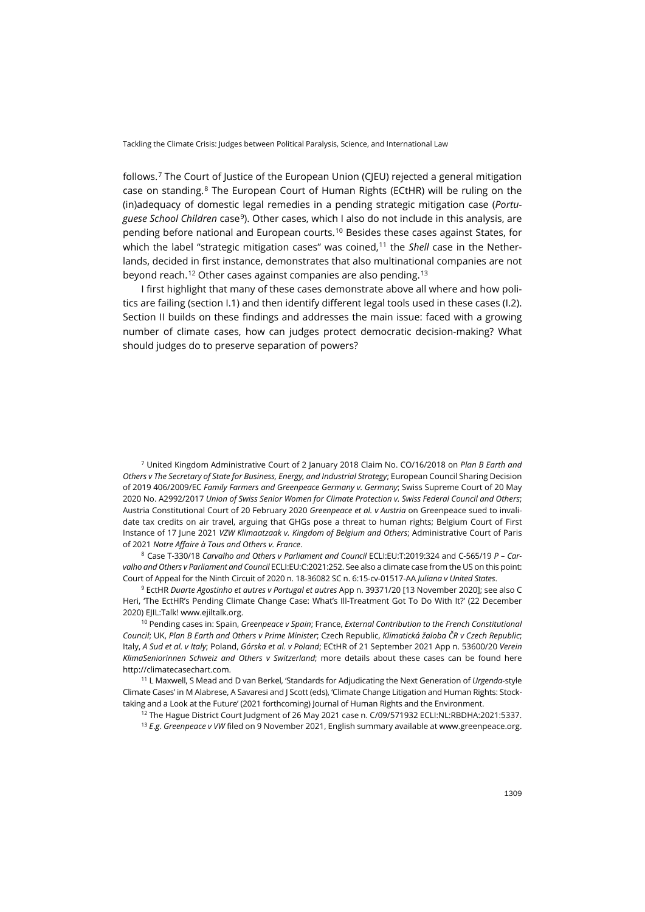follows. [7](#page-3-0) The Court of Justice of the European Union (CJEU) rejected a general mitigation case on standing.[8](#page-3-1) The European Court of Human Rights (ECtHR) will be ruling on the (in)adequacy of domestic legal remedies in a pending strategic mitigation case (*Portuguese School Children* case[9\)](#page-3-2). Other cases, which I also do not include in this analysis, are pending before national and European courts.<sup>[10](#page-3-3)</sup> Besides these cases against States, for which the label "strategic mitigation cases" was coined,<sup>[11](#page-3-4)</sup> the *Shell* case in the Netherlands, decided in first instance, demonstrates that also multinational companies are not beyond reach.<sup>[12](#page-3-5)</sup> Other cases against companies are also pending.<sup>[13](#page-3-6)</sup>

I first highlight that many of these cases demonstrate above all where and how politics are failing (section I.1) and then identify different legal tools used in these cases (I.2). Section II builds on these findings and addresses the main issue: faced with a growing number of climate cases, how can judges protect democratic decision-making? What should judges do to preserve separation of powers?

<span id="page-3-0"></span><sup>7</sup> United Kingdom Administrative Court of 2 January 2018 Claim No. CO/16/2018 on *Plan B Earth and Others v The Secretary of State for Business, Energy, and Industrial Strategy*; European Council Sharing Decision of 2019 406/2009/EC *Family Farmers and Greenpeace Germany v. Germany*; Swiss Supreme Court of 20 May 2020 No. A2992/2017 *Union of Swiss Senior Women for Climate Protection v. Swiss Federal Council and Others*; Austria Constitutional Court of 20 February 2020 *Greenpeace et al. v Austria* on Greenpeace sued to invalidate tax credits on air travel, arguing that GHGs pose a threat to human rights; Belgium Court of First Instance of 17 June 2021 *VZW Klimaatzaak v. Kingdom of Belgium and Others*; Administrative Court of Paris of 2021 *Notre Affaire à Tous and Others v. France*.

<span id="page-3-1"></span><sup>8</sup> Case T-330/18 *Carvalho and Others v Parliament and Council* ECLI:EU:T:2019:324 and C-565/19 *P – Carvalho and Others v Parliament and Council* ECLI:EU:C:2021:252. See also a climate case from the US on this point: Court of Appeal for the Ninth Circuit of 2020 n. 18-36082 SC n. 6:15-cv-01517-AA *Juliana v United States*.

<span id="page-3-2"></span><sup>9</sup> EctHR *Duarte Agostinho et autres v Portugal et autres* App n. 39371/20 [13 November 2020]; see also C Heri, 'The EctHR's Pending Climate Change Case: What's Ill-Treatment Got To Do With It?' (22 December 2020) EJIL:Talk! [www.ejiltalk.org.](https://www.ejiltalk.org/the-ecthrs-pending-climate-change-case-whats-ill-treatment-got-to-do-with-it/)

<span id="page-3-3"></span><sup>10</sup> Pending cases in: Spain, *Greenpeace v Spain*; France, *External Contribution to the French Constitutional Council*; UK, *Plan B Earth and Others v Prime Minister*; Czech Republic, *Klimatická žaloba ČR v Czech Republic*; Italy, *A Sud et al. v Italy*; Poland, *Górska et al. v Poland*; ECtHR of 21 September 2021 App n. 53600/20 *Verein KlimaSeniorinnen Schweiz and Others v Switzerland*; more details about these cases can be found here [http://climatecasechart.com.](http://climatecasechart.com/) 

<span id="page-3-6"></span><span id="page-3-5"></span><span id="page-3-4"></span><sup>11</sup> L Maxwell, S Mead and D van Berkel, 'Standards for Adjudicating the Next Generation of *Urgenda*-style Climate Cases' in M Alabrese, A Savaresi and J Scott (eds), 'Climate Change Litigation and Human Rights: Stocktaking and a Look at the Future' (2021 forthcoming) Journal of Human Rights and the Environment.

<sup>12</sup> The Hague District Court Judgment of 26 May 2021 case n. C/09/571932 ECLI:NL:RBDHA:2021:5337.

<sup>13</sup> *E*.*g*. *Greenpeace v VW* filed on 9 November 2021, English summary available at [www.greenpeace.org.](https://www.greenpeace.org/international/press-release/50625/greenpeace-sues-volkswagen-for-fuelling-the-climate-crisis-and-violating-future-freedom-and-property-rights/)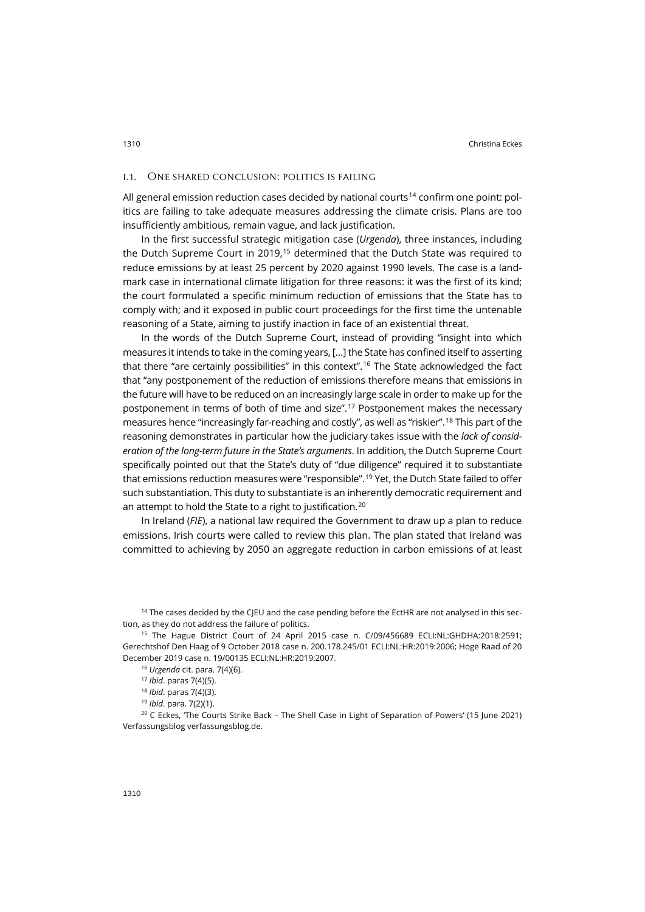#### i.1. One shared conclusion: politics is failing

All general emission reduction cases decided by national courts<sup>[14](#page-4-0)</sup> confirm one point: politics are failing to take adequate measures addressing the climate crisis. Plans are too insufficiently ambitious, remain vague, and lack justification.

In the first successful strategic mitigation case (*Urgenda*), three instances, including the Dutch Supreme Court in 2019,<sup>[15](#page-4-1)</sup> determined that the Dutch State was required to reduce emissions by at least 25 percent by 2020 against 1990 levels. The case is a landmark case in international climate litigation for three reasons: it was the first of its kind; the court formulated a specific minimum reduction of emissions that the State has to comply with; and it exposed in public court proceedings for the first time the untenable reasoning of a State, aiming to justify inaction in face of an existential threat.

In the words of the Dutch Supreme Court, instead of providing "insight into which measures it intends to take in the coming years, […] the State has confined itself to asserting that there "are certainly possibilities" in this context". [16](#page-4-2) The State acknowledged the fact that "any postponement of the reduction of emissions therefore means that emissions in the future will have to be reduced on an increasingly large scale in order to make up for the postponement in terms of both of time and size". [17](#page-4-3) Postponement makes the necessary measures hence "increasingly far-reaching and costly", as well as "riskier". [18](#page-4-4) This part of the reasoning demonstrates in particular how the judiciary takes issue with the *lack of consideration of the long-term future in the State's arguments*. In addition, the Dutch Supreme Court specifically pointed out that the State's duty of "due diligence" required it to substantiate that emissions reduction measures were "responsible". [19](#page-4-5) Yet, the Dutch State failed to offer such substantiation. This duty to substantiate is an inherently democratic requirement and an attempt to hold the State to a right to justification.[20](#page-4-6)

In Ireland (*FIE*), a national law required the Government to draw up a plan to reduce emissions. Irish courts were called to review this plan. The plan stated that Ireland was committed to achieving by 2050 an aggregate reduction in carbon emissions of at least

<span id="page-4-0"></span><sup>14</sup> The cases decided by the CJEU and the case pending before the EctHR are not analysed in this section, as they do not address the failure of politics.

<span id="page-4-2"></span><span id="page-4-1"></span><sup>15</sup> The Hague District Court of 24 April 2015 case n. C/09/456689 ECLI:NL:GHDHA:2018:2591; Gerechtshof Den Haag of 9 October 2018 case n. 200.178.245/01 ECLI:NL:HR:2019:2006; Hoge Raad of 20 December 2019 case n. 19/00135 ECLI:NL:HR:2019:2007.

<sup>16</sup> *Urgenda* cit. para. 7(4)(6).

<span id="page-4-6"></span><span id="page-4-5"></span><span id="page-4-4"></span><span id="page-4-3"></span><sup>20</sup> C Eckes, 'The Courts Strike Back – The Shell Case in Light of Separation of Powers' (15 June 2021) Verfassungsblog [verfassungsblog.de.](https://verfassungsblog.de/the-courts-strike-back/)

<sup>17</sup> *Ibid*. paras 7(4)(5).

<sup>18</sup> *Ibid*. paras 7(4)(3).

<sup>19</sup> *Ibid*. para. 7(2)(1).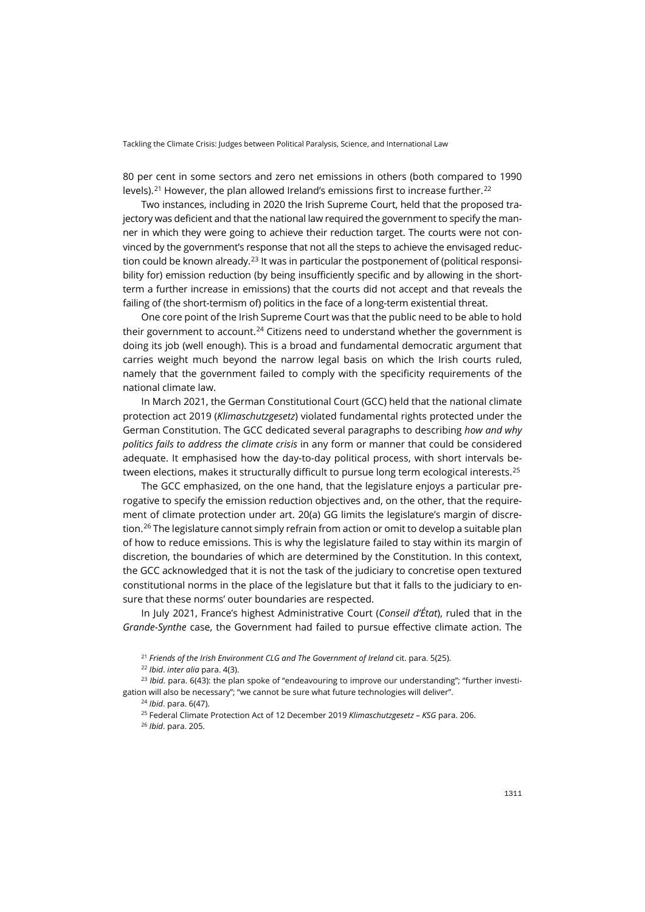80 per cent in some sectors and zero net emissions in others (both compared to 1990 levels). $^{\mathrm{21}}$  $^{\mathrm{21}}$  $^{\mathrm{21}}$  However, the plan allowed Ireland's emissions first to increase further. $^{\mathrm{22}}$  $^{\mathrm{22}}$  $^{\mathrm{22}}$ 

Two instances, including in 2020 the Irish Supreme Court, held that the proposed trajectory was deficient and that the national law required the government to specify the manner in which they were going to achieve their reduction target. The courts were not convinced by the government's response that not all the steps to achieve the envisaged reduc-tion could be known already.<sup>[23](#page-5-2)</sup> It was in particular the postponement of (political responsibility for) emission reduction (by being insufficiently specific and by allowing in the shortterm a further increase in emissions) that the courts did not accept and that reveals the failing of (the short-termism of) politics in the face of a long-term existential threat.

One core point of the Irish Supreme Court was that the public need to be able to hold their government to account.<sup>[24](#page-5-3)</sup> Citizens need to understand whether the government is doing its job (well enough). This is a broad and fundamental democratic argument that carries weight much beyond the narrow legal basis on which the Irish courts ruled, namely that the government failed to comply with the specificity requirements of the national climate law.

In March 2021, the German Constitutional Court (GCC) held that the national climate protection act 2019 (*Klimaschutzgesetz*) violated fundamental rights protected under the German Constitution. The GCC dedicated several paragraphs to describing *how and why politics fails to address the climate crisis* in any form or manner that could be considered adequate. It emphasised how the day-to-day political process, with short intervals be-tween elections, makes it structurally difficult to pursue long term ecological interests.<sup>[25](#page-5-4)</sup>

The GCC emphasized, on the one hand, that the legislature enjoys a particular prerogative to specify the emission reduction objectives and, on the other, that the requirement of climate protection under art. 20(a) GG limits the legislature's margin of discre-tion.<sup>[26](#page-5-5)</sup> The legislature cannot simply refrain from action or omit to develop a suitable plan of how to reduce emissions. This is why the legislature failed to stay within its margin of discretion, the boundaries of which are determined by the Constitution. In this context, the GCC acknowledged that it is not the task of the judiciary to concretise open textured constitutional norms in the place of the legislature but that it falls to the judiciary to ensure that these norms' outer boundaries are respected.

In July 2021, France's highest Administrative Court (*Conseil d'État*), ruled that in the *Grande-Synthe* case, the Government had failed to pursue effective climate action. The

<sup>21</sup> *Friends of the Irish Environment CLG and The Government of Ireland* cit. para. 5(25).

<sup>22</sup> *Ibid*. *inter alia* para. 4(3).

<span id="page-5-5"></span><span id="page-5-4"></span><span id="page-5-3"></span><span id="page-5-2"></span><span id="page-5-1"></span><span id="page-5-0"></span><sup>23</sup> *Ibid*. para. 6(43): the plan spoke of "endeavouring to improve our understanding"; "further investigation will also be necessary"; "we cannot be sure what future technologies will deliver".

<sup>24</sup> *Ibid*. para. 6(47).

<sup>25</sup> Federal Climate Protection Act of 12 December 2019 *Klimaschutzgesetz – KSG* para. 206.

<sup>26</sup> *Ibid*. para. 205.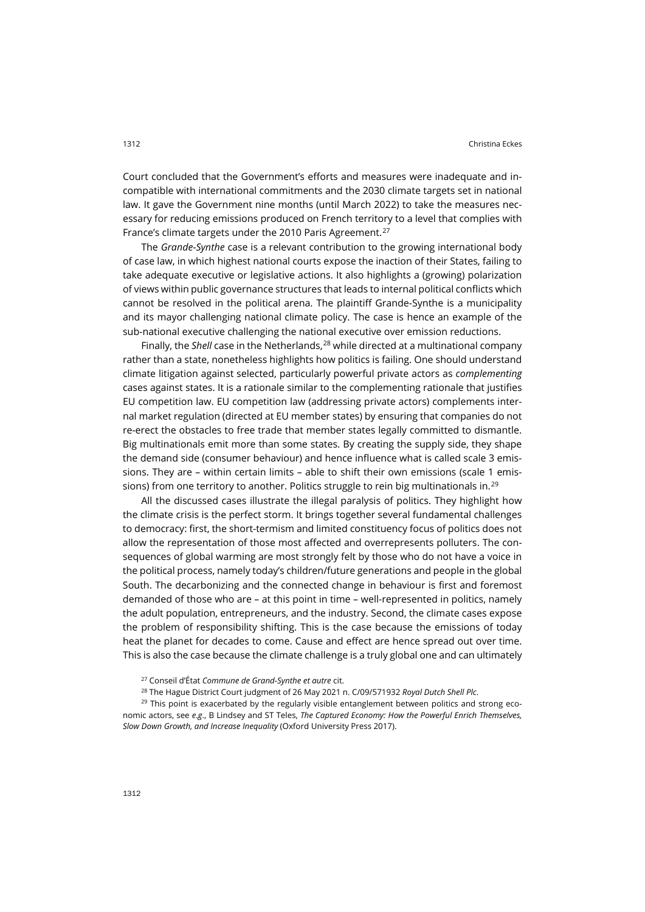Court concluded that the Government's efforts and measures were inadequate and incompatible with international commitments and the 2030 climate targets set in national law. It gave the Government nine months (until March 2022) to take the measures necessary for reducing emissions produced on French territory to a level that complies with France's climate targets under the 2010 Paris Agreement.[27](#page-6-0)

The *Grande-Synthe* case is a relevant contribution to the growing international body of case law, in which highest national courts expose the inaction of their States, failing to take adequate executive or legislative actions. It also highlights a (growing) polarization of views within public governance structures that leads to internal political conflicts which cannot be resolved in the political arena. The plaintiff Grande-Synthe is a municipality and its mayor challenging national climate policy. The case is hence an example of the sub-national executive challenging the national executive over emission reductions.

Finally, the *Shell* case in the Netherlands,[28](#page-6-1) while directed at a multinational company rather than a state, nonetheless highlights how politics is failing. One should understand climate litigation against selected, particularly powerful private actors as *complementing* cases against states. It is a rationale similar to the complementing rationale that justifies EU competition law. EU competition law (addressing private actors) complements internal market regulation (directed at EU member states) by ensuring that companies do not re-erect the obstacles to free trade that member states legally committed to dismantle. Big multinationals emit more than some states. By creating the supply side, they shape the demand side (consumer behaviour) and hence influence what is called scale 3 emissions. They are – within certain limits – able to shift their own emissions (scale 1 emis-sions) from one territory to another. Politics struggle to rein big multinationals in.<sup>[29](#page-6-2)</sup>

All the discussed cases illustrate the illegal paralysis of politics. They highlight how the climate crisis is the perfect storm. It brings together several fundamental challenges to democracy: first, the short-termism and limited constituency focus of politics does not allow the representation of those most affected and overrepresents polluters. The consequences of global warming are most strongly felt by those who do not have a voice in the political process, namely today's children/future generations and people in the global South. The decarbonizing and the connected change in behaviour is first and foremost demanded of those who are – at this point in time – well-represented in politics, namely the adult population, entrepreneurs, and the industry. Second, the climate cases expose the problem of responsibility shifting. This is the case because the emissions of today heat the planet for decades to come. Cause and effect are hence spread out over time. This is also the case because the climate challenge is a truly global one and can ultimately

<sup>28</sup> The Hague District Court judgment of 26 May 2021 n. C/09/571932 *Royal Dutch Shell Plc*.

<span id="page-6-2"></span><span id="page-6-1"></span><span id="page-6-0"></span> $29$  This point is exacerbated by the regularly visible entanglement between politics and strong economic actors, see *e*.*g*., B Lindsey and ST Teles, *The Captured Economy: How the Powerful Enrich Themselves, Slow Down Growth, and Increase Inequality* (Oxford University Press 2017).

<sup>27</sup> Conseil d'État *Commune de Grand-Synthe et autre* cit.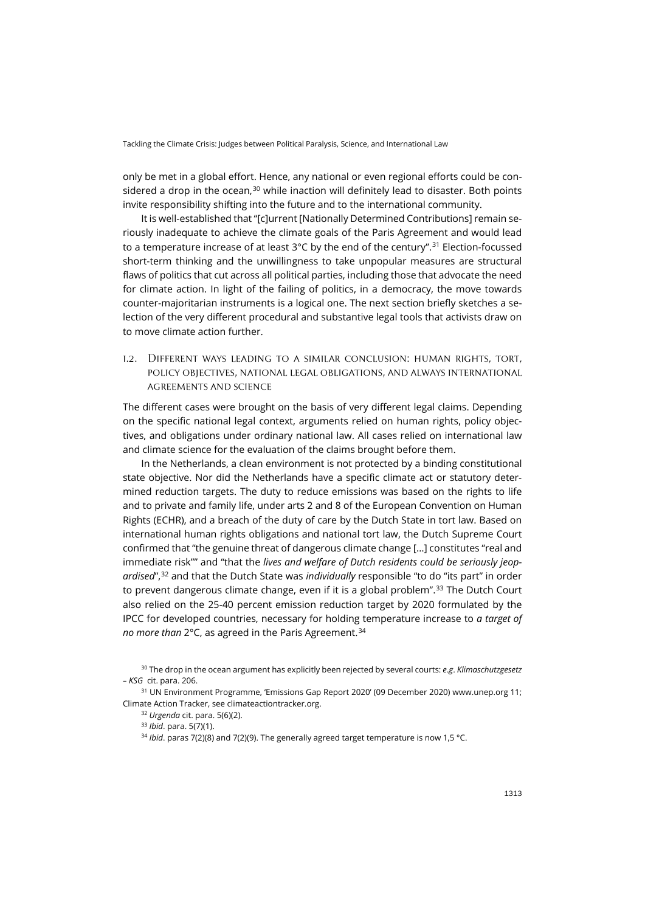only be met in a global effort. Hence, any national or even regional efforts could be con-sidered a drop in the ocean.<sup>[30](#page-7-0)</sup> while inaction will definitely lead to disaster. Both points invite responsibility shifting into the future and to the international community.

It is well-established that "[c]urrent [Nationally Determined Contributions] remain seriously inadequate to achieve the climate goals of the Paris Agreement and would lead to a temperature increase of at least 3°C by the end of the century". [31](#page-7-1) Election-focussed short-term thinking and the unwillingness to take unpopular measures are structural flaws of politics that cut across all political parties, including those that advocate the need for climate action. In light of the failing of politics, in a democracy, the move towards counter-majoritarian instruments is a logical one. The next section briefly sketches a selection of the very different procedural and substantive legal tools that activists draw on to move climate action further.

i.2. Different ways leading to a similar conclusion: human rights, tort, policy objectives, national legal obligations, and always international agreements and science

The different cases were brought on the basis of very different legal claims. Depending on the specific national legal context, arguments relied on human rights, policy objectives, and obligations under ordinary national law. All cases relied on international law and climate science for the evaluation of the claims brought before them.

In the Netherlands, a clean environment is not protected by a binding constitutional state objective. Nor did the Netherlands have a specific climate act or statutory determined reduction targets. The duty to reduce emissions was based on the rights to life and to private and family life, under arts 2 and 8 of the European Convention on Human Rights (ECHR), and a breach of the duty of care by the Dutch State in tort law. Based on international human rights obligations and national tort law, the Dutch Supreme Court confirmed that "the genuine threat of dangerous climate change […] constitutes "real and immediate risk"" and "that the *lives and welfare of Dutch residents could be seriously jeopardised*", [32](#page-7-2) and that the Dutch State was *individually* responsible "to do "its part" in order to prevent dangerous climate change, even if it is a global problem". [33](#page-7-3) The Dutch Court also relied on the 25-40 percent emission reduction target by 2020 formulated by the IPCC for developed countries, necessary for holding temperature increase to *a target of no more than* 2°C, as agreed in the Paris Agreement. [34](#page-7-4)

<span id="page-7-0"></span><sup>30</sup> The drop in the ocean argument has explicitly been rejected by several courts: *e*.*g*. *Klimaschutzgesetz – KSG* cit. para. 206.

<span id="page-7-4"></span><span id="page-7-3"></span><span id="page-7-2"></span><span id="page-7-1"></span><sup>31</sup> UN Environment Programme, 'Emissions Gap Report 2020' (09 December 2020) [www.unep.org](http://www.unep.org/) 11; Climate Action Tracker, se[e climateactiontracker.org.](https://climateactiontracker.org/)

<sup>32</sup> *Urgenda* cit. para. 5(6)(2).

<sup>33</sup> *Ibid*. para. 5(7)(1).

<sup>34</sup> *Ibid*. paras 7(2)(8) and 7(2)(9). The generally agreed target temperature is now 1,5 °C.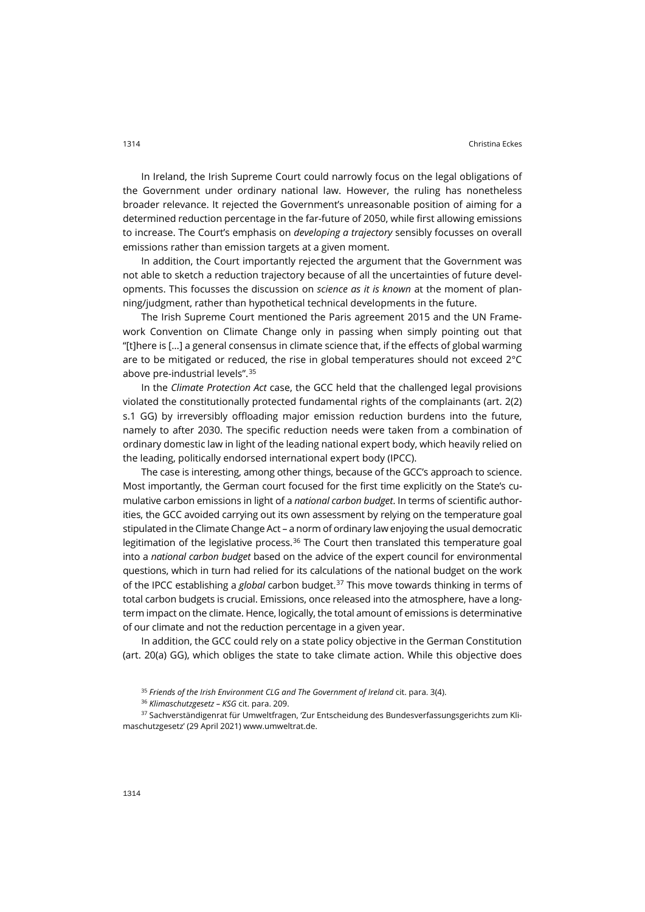In Ireland, the Irish Supreme Court could narrowly focus on the legal obligations of the Government under ordinary national law. However, the ruling has nonetheless broader relevance. It rejected the Government's unreasonable position of aiming for a determined reduction percentage in the far-future of 2050, while first allowing emissions to increase. The Court's emphasis on *developing a trajectory* sensibly focusses on overall emissions rather than emission targets at a given moment.

In addition, the Court importantly rejected the argument that the Government was not able to sketch a reduction trajectory because of all the uncertainties of future developments. This focusses the discussion on *science as it is known* at the moment of planning/judgment, rather than hypothetical technical developments in the future.

The Irish Supreme Court mentioned the Paris agreement 2015 and the UN Framework Convention on Climate Change only in passing when simply pointing out that "[t]here is […] a general consensus in climate science that, if the effects of global warming are to be mitigated or reduced, the rise in global temperatures should not exceed 2°C above pre-industrial levels". [35](#page-8-0)

In the *Climate Protection Act* case, the GCC held that the challenged legal provisions violated the constitutionally protected fundamental rights of the complainants (art. 2(2) s.1 GG) by irreversibly offloading major emission reduction burdens into the future, namely to after 2030. The specific reduction needs were taken from a combination of ordinary domestic law in light of the leading national expert body, which heavily relied on the leading, politically endorsed international expert body (IPCC).

The case is interesting, among other things, because of the GCC's approach to science. Most importantly, the German court focused for the first time explicitly on the State's cumulative carbon emissions in light of a *national carbon budget*. In terms of scientific authorities, the GCC avoided carrying out its own assessment by relying on the temperature goal stipulated in the Climate Change Act – a norm of ordinary law enjoying the usual democratic legitimation of the legislative process.<sup>[36](#page-8-1)</sup> The Court then translated this temperature goal into a *national carbon budget* based on the advice of the expert council for environmental questions, which in turn had relied for its calculations of the national budget on the work of the IPCC establishing a *global* carbon budget.[37](#page-8-2) This move towards thinking in terms of total carbon budgets is crucial. Emissions, once released into the atmosphere, have a longterm impact on the climate. Hence, logically, the total amount of emissions is determinative of our climate and not the reduction percentage in a given year.

In addition, the GCC could rely on a state policy objective in the German Constitution (art. 20(a) GG), which obliges the state to take climate action. While this objective does

<sup>&</sup>lt;sup>35</sup> Friends of the Irish Environment CLG and The Government of Ireland cit. para. 3(4).

<sup>36</sup> *Klimaschutzgesetz – KSG* cit. para. 209.

<span id="page-8-2"></span><span id="page-8-1"></span><span id="page-8-0"></span><sup>&</sup>lt;sup>37</sup> Sachverständigenrat für Umweltfragen, 'Zur Entscheidung des Bundesverfassungsgerichts zum Klimaschutzgesetz' (29 April 2021[\) www.umweltrat.de.](https://www.umweltrat.de/SharedDocs/Downloads/DE/01_Umweltgutachten/2016_2020/2020_Umweltgutachten_Kap_02_Pariser_Klimaziele.html)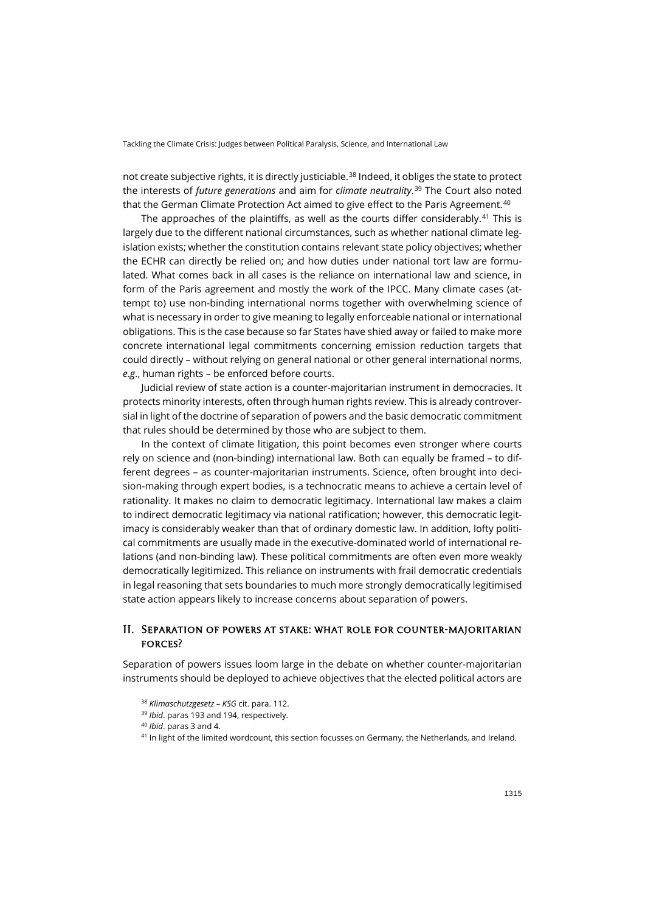not create subjective rights, it is directly justiciable.<sup>[38](#page-9-0)</sup> Indeed, it obliges the state to protect the interests of *future generations* and aim for *climate neutrality*. [39](#page-9-1) The Court also noted that the German Climate Protection Act aimed to give effect to the Paris Agreement.<sup>[40](#page-9-2)</sup>

The approaches of the plaintiffs, as well as the courts differ considerably.<sup>[41](#page-9-3)</sup> This is largely due to the different national circumstances, such as whether national climate legislation exists; whether the constitution contains relevant state policy objectives; whether the ECHR can directly be relied on; and how duties under national tort law are formulated. What comes back in all cases is the reliance on international law and science, in form of the Paris agreement and mostly the work of the IPCC. Many climate cases (attempt to) use non-binding international norms together with overwhelming science of what is necessary in order to give meaning to legally enforceable national or international obligations. This is the case because so far States have shied away or failed to make more concrete international legal commitments concerning emission reduction targets that could directly – without relying on general national or other general international norms, *e*.*g*., human rights – be enforced before courts.

Judicial review of state action is a counter-majoritarian instrument in democracies. It protects minority interests, often through human rights review. This is already controversial in light of the doctrine of separation of powers and the basic democratic commitment that rules should be determined by those who are subject to them.

In the context of climate litigation, this point becomes even stronger where courts rely on science and (non-binding) international law. Both can equally be framed – to different degrees – as counter-majoritarian instruments. Science, often brought into decision-making through expert bodies, is a technocratic means to achieve a certain level of rationality. It makes no claim to democratic legitimacy. International law makes a claim to indirect democratic legitimacy via national ratification; however, this democratic legitimacy is considerably weaker than that of ordinary domestic law. In addition, lofty political commitments are usually made in the executive-dominated world of international relations (and non-binding law). These political commitments are often even more weakly democratically legitimized. This reliance on instruments with frail democratic credentials in legal reasoning that sets boundaries to much more strongly democratically legitimised state action appears likely to increase concerns about separation of powers.

### II. Separation of powers at stake: what role for counter-majoritarian forces?

<span id="page-9-2"></span><span id="page-9-1"></span><span id="page-9-0"></span>Separation of powers issues loom large in the debate on whether counter-majoritarian instruments should be deployed to achieve objectives that the elected political actors are

<sup>38</sup> *Klimaschutzgesetz – KSG* cit. para. 112.

<sup>39</sup> *Ibid*. paras 193 and 194, respectively.

<sup>40</sup> *Ibid*. paras 3 and 4.

<span id="page-9-3"></span><sup>41</sup> In light of the limited wordcount, this section focusses on Germany, the Netherlands, and Ireland.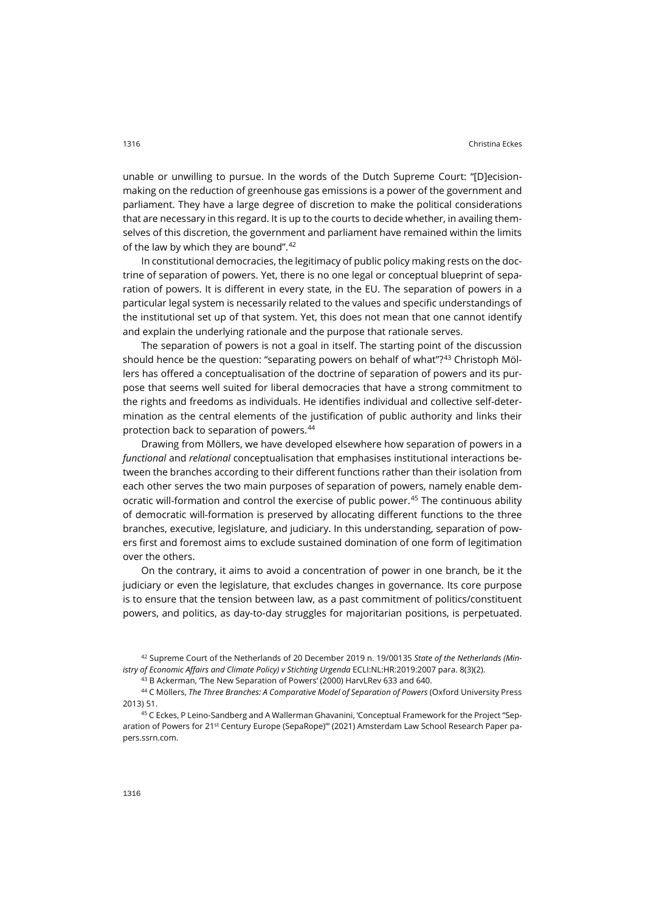unable or unwilling to pursue. In the words of the Dutch Supreme Court: "[D]ecisionmaking on the reduction of greenhouse gas emissions is a power of the government and parliament. They have a large degree of discretion to make the political considerations that are necessary in this regard. It is up to the courts to decide whether, in availing themselves of this discretion, the government and parliament have remained within the limits of the law by which they are bound". [42](#page-10-0)

In constitutional democracies, the legitimacy of public policy making rests on the doctrine of separation of powers. Yet, there is no one legal or conceptual blueprint of separation of powers. It is different in every state, in the EU. The separation of powers in a particular legal system is necessarily related to the values and specific understandings of the institutional set up of that system. Yet, this does not mean that one cannot identify and explain the underlying rationale and the purpose that rationale serves.

The separation of powers is not a goal in itself. The starting point of the discussion should hence be the question: "separating powers on behalf of what"?<sup>[43](#page-10-1)</sup> Christoph Möllers has offered a conceptualisation of the doctrine of separation of powers and its purpose that seems well suited for liberal democracies that have a strong commitment to the rights and freedoms as individuals. He identifies individual and collective self-determination as the central elements of the justification of public authority and links their protection back to separation of powers. [44](#page-10-2)

Drawing from Möllers, we have developed elsewhere how separation of powers in a *functional* and *relational* conceptualisation that emphasises institutional interactions between the branches according to their different functions rather than their isolation from each other serves the two main purposes of separation of powers, namely enable dem-ocratic will-formation and control the exercise of public power.<sup>[45](#page-10-3)</sup> The continuous ability of democratic will-formation is preserved by allocating different functions to the three branches, executive, legislature, and judiciary. In this understanding, separation of powers first and foremost aims to exclude sustained domination of one form of legitimation over the others.

On the contrary, it aims to avoid a concentration of power in one branch, be it the judiciary or even the legislature, that excludes changes in governance. Its core purpose is to ensure that the tension between law, as a past commitment of politics/constituent powers, and politics, as day-to-day struggles for majoritarian positions, is perpetuated.

<sup>43</sup> B Ackerman, 'The New Separation of Powers' (2000) HarvLRev 633 and 640.

<span id="page-10-2"></span><span id="page-10-1"></span><sup>44</sup> C Möllers, *The Three Branches: A Comparative Model of Separation of Powers* (Oxford University Press 2013) 51.

<span id="page-10-3"></span><sup>45</sup> C Eckes, P Leino-Sandberg and A Wallerman Ghavanini, 'Conceptual Framework for the Project "Separation of Powers for 21<sup>st</sup> Century Europe (SepaRope)"' (2021) Amsterdam Law School Research Pape[r pa](https://papers.ssrn.com/sol3/papers.cfm?abstract_id=3777334)[pers.ssrn.com.](https://papers.ssrn.com/sol3/papers.cfm?abstract_id=3777334)

<span id="page-10-0"></span><sup>42</sup> Supreme Court of the Netherlands of 20 December 2019 n. 19/00135 *State of the Netherlands (Ministry of Economic Affairs and Climate Policy) v Stichting Urgenda* ECLI:NL:HR:2019:2007 para. 8(3)(2).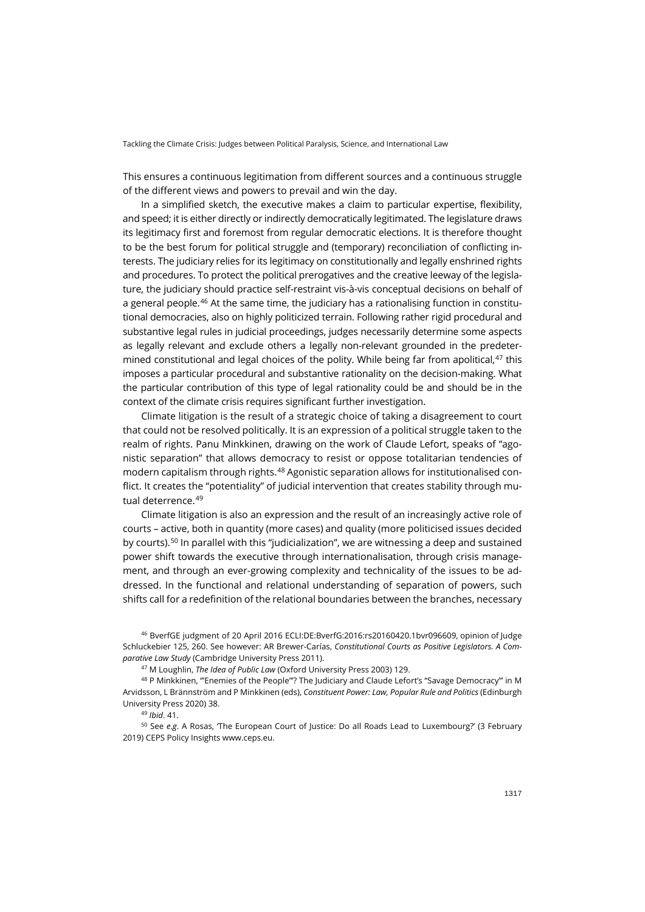This ensures a continuous legitimation from different sources and a continuous struggle of the different views and powers to prevail and win the day.

In a simplified sketch, the executive makes a claim to particular expertise, flexibility, and speed; it is either directly or indirectly democratically legitimated. The legislature draws its legitimacy first and foremost from regular democratic elections. It is therefore thought to be the best forum for political struggle and (temporary) reconciliation of conflicting interests. The judiciary relies for its legitimacy on constitutionally and legally enshrined rights and procedures. To protect the political prerogatives and the creative leeway of the legislature, the judiciary should practice self-restraint vis-à-vis conceptual decisions on behalf of a general people. [46](#page-11-0) At the same time, the judiciary has a rationalising function in constitutional democracies, also on highly politicized terrain. Following rather rigid procedural and substantive legal rules in judicial proceedings, judges necessarily determine some aspects as legally relevant and exclude others a legally non-relevant grounded in the predetermined constitutional and legal choices of the polity. While being far from apolitical, $47$  this imposes a particular procedural and substantive rationality on the decision-making. What the particular contribution of this type of legal rationality could be and should be in the context of the climate crisis requires significant further investigation.

Climate litigation is the result of a strategic choice of taking a disagreement to court that could not be resolved politically. It is an expression of a political struggle taken to the realm of rights. Panu Minkkinen, drawing on the work of Claude Lefort, speaks of "agonistic separation" that allows democracy to resist or oppose totalitarian tendencies of modern capitalism through rights.[48](#page-11-2) Agonistic separation allows for institutionalised conflict. It creates the "potentiality" of judicial intervention that creates stability through mu-tual deterrence.<sup>[49](#page-11-3)</sup>

Climate litigation is also an expression and the result of an increasingly active role of courts – active, both in quantity (more cases) and quality (more politicised issues decided by courts).<sup>[50](#page-11-4)</sup> In parallel with this "judicialization", we are witnessing a deep and sustained power shift towards the executive through internationalisation, through crisis management, and through an ever-growing complexity and technicality of the issues to be addressed. In the functional and relational understanding of separation of powers, such shifts call for a redefinition of the relational boundaries between the branches, necessary

<span id="page-11-0"></span><sup>46</sup> BverfGE judgment of 20 April 2016 ECLI:DE:BverfG:2016:rs20160420.1bvr096609, opinion of Judge Schluckebier 125, 260. See however: AR Brewer-Carías, *Constitutional Courts as Positive Legislators. A Comparative Law Study* (Cambridge University Press 2011).

<sup>47</sup> M Loughlin, *The Idea of Public Law* (Oxford University Press 2003) 129.

<span id="page-11-2"></span><span id="page-11-1"></span><sup>48</sup> P Minkkinen, '"Enemies of the People"'? The Judiciary and Claude Lefort's "Savage Democracy"' in M Arvidsson, L Brännström and P Minkkinen (eds), *Constituent Power: Law, Popular Rule and Politics* (Edinburgh University Press 2020) 38.

<sup>49</sup> *Ibid*. 41.

<span id="page-11-4"></span><span id="page-11-3"></span><sup>50</sup> See *e*.*g*. A Rosas, 'The European Court of Justice: Do all Roads Lead to Luxembourg?' (3 February 2019) CEPS Policy Insights [www.ceps.eu.](https://www.ceps.eu/wp-content/uploads/2019/02/PI2019_03_AR_ECJ_0.pdf)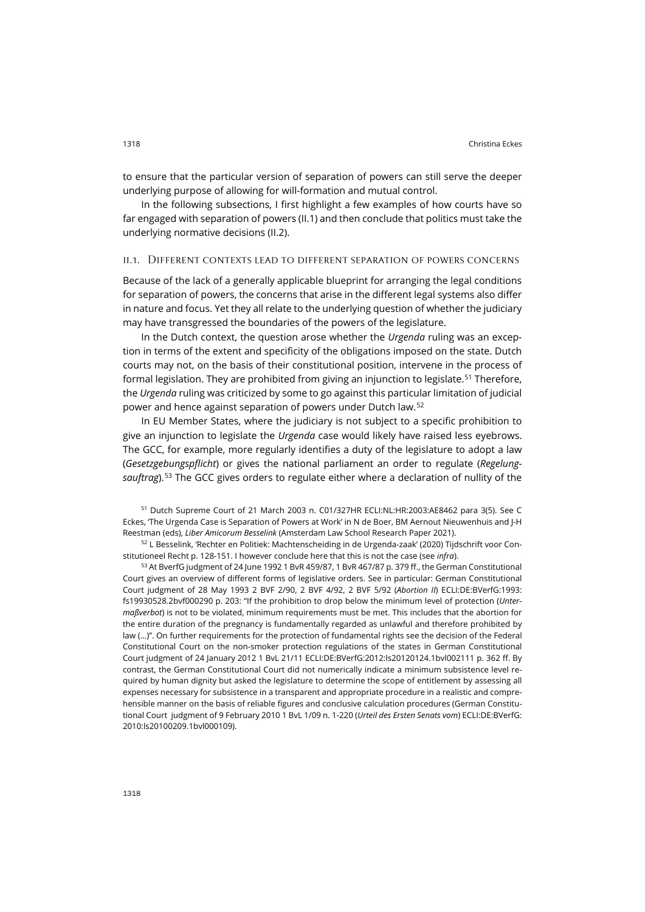In the following subsections, I first highlight a few examples of how courts have so far engaged with separation of powers (II.1) and then conclude that politics must take the underlying normative decisions (II.2).

#### ii.1. Different contexts lead to different separation of powers concerns

Because of the lack of a generally applicable blueprint for arranging the legal conditions for separation of powers, the concerns that arise in the different legal systems also differ in nature and focus. Yet they all relate to the underlying question of whether the judiciary may have transgressed the boundaries of the powers of the legislature.

In the Dutch context, the question arose whether the *Urgenda* ruling was an exception in terms of the extent and specificity of the obligations imposed on the state. Dutch courts may not, on the basis of their constitutional position, intervene in the process of formal legislation. They are prohibited from giving an injunction to legislate.<sup>[51](#page-12-0)</sup> Therefore, the *Urgenda* ruling was criticized by some to go against this particular limitation of judicial power and hence against separation of powers under Dutch law. [52](#page-12-1)

In EU Member States, where the judiciary is not subject to a specific prohibition to give an injunction to legislate the *Urgenda* case would likely have raised less eyebrows. The GCC, for example, more regularly identifies a duty of the legislature to adopt a law (*Gesetzgebungspflicht*) or gives the national parliament an order to regulate (*Regelungsauftrag*).[53](#page-12-2) The GCC gives orders to regulate either where a declaration of nullity of the

<span id="page-12-0"></span><sup>51</sup> Dutch Supreme Court of 21 March 2003 n. C01/327HR ECLI:NL:HR:2003:AE8462 para 3(5). See C Eckes, 'The Urgenda Case is Separation of Powers at Work' in N de Boer, BM Aernout Nieuwenhuis and J-H Reestman (eds), *Liber Amicorum Besselink* (Amsterdam Law School Research Paper 2021).

<span id="page-12-1"></span><sup>52</sup> L Besselink, 'Rechter en Politiek: Machtenscheiding in de Urgenda-zaak' (2020) Tijdschrift voor Constitutioneel Recht p. 128-151. I however conclude here that this is not the case (see *infra*).

<span id="page-12-2"></span><sup>53</sup> At BverfG judgment of 24 June 1992 1 BvR 459/87, 1 BvR 467/87 p. 379 ff., the German Constitutional Court gives an overview of different forms of legislative orders. See in particular: German Constitutional Court judgment of 28 May 1993 2 BVF 2/90, 2 BVF 4/92, 2 BVF 5/92 (*Abortion II*) ECLI:DE:BVerfG:1993: fs19930528.2bvf000290 p. 203: "If the prohibition to drop below the minimum level of protection (*Untermaßverbot*) is not to be violated, minimum requirements must be met. This includes that the abortion for the entire duration of the pregnancy is fundamentally regarded as unlawful and therefore prohibited by law (...)". On further requirements for the protection of fundamental rights see the decision of the Federal Constitutional Court on the non-smoker protection regulations of the states in German Constitutional Court judgment of 24 January 2012 1 BvL 21/11 ECLI:DE:BVerfG:2012:ls20120124.1bvl002111 p. 362 ff. By contrast, the German Constitutional Court did not numerically indicate a minimum subsistence level required by human dignity but asked the legislature to determine the scope of entitlement by assessing all expenses necessary for subsistence in a transparent and appropriate procedure in a realistic and comprehensible manner on the basis of reliable figures and conclusive calculation procedures (German Constitutional Court judgment of 9 February 2010 1 BvL 1/09 n. 1-220 (*Urteil des Ersten Senats vom*) ECLI:DE:BVerfG: 2010:ls20100209.1bvl000109).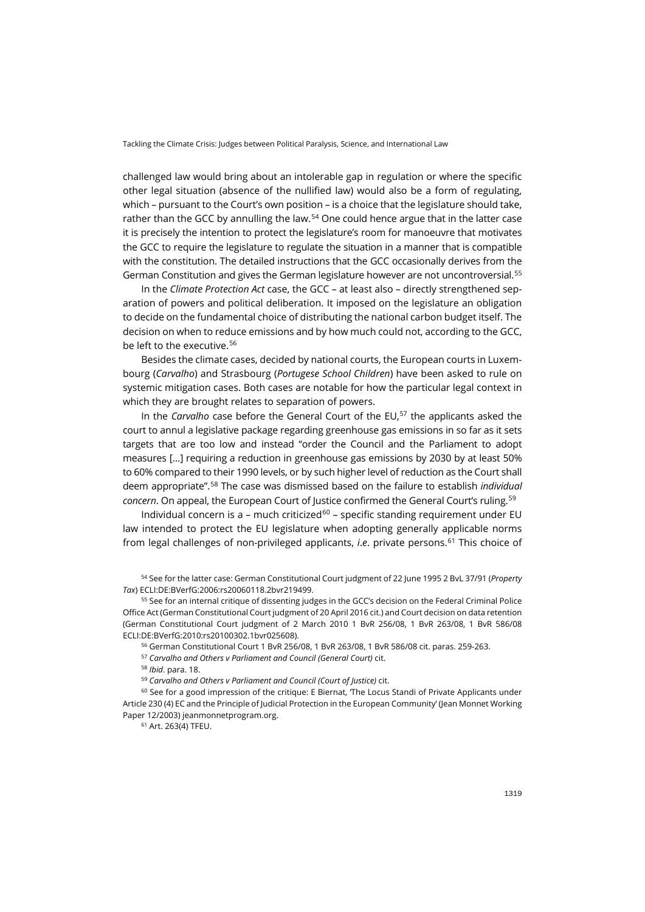challenged law would bring about an intolerable gap in regulation or where the specific other legal situation (absence of the nullified law) would also be a form of regulating, which – pursuant to the Court's own position – is a choice that the legislature should take, rather than the GCC by annulling the law.<sup>[54](#page-13-0)</sup> One could hence argue that in the latter case it is precisely the intention to protect the legislature's room for manoeuvre that motivates the GCC to require the legislature to regulate the situation in a manner that is compatible with the constitution. The detailed instructions that the GCC occasionally derives from the German Constitution and gives the German legislature however are not uncontroversial.[55](#page-13-1)

In the *Climate Protection Act* case, the GCC – at least also – directly strengthened separation of powers and political deliberation. It imposed on the legislature an obligation to decide on the fundamental choice of distributing the national carbon budget itself. The decision on when to reduce emissions and by how much could not, according to the GCC, be left to the executive.[56](#page-13-2)

Besides the climate cases, decided by national courts, the European courts in Luxembourg (*Carvalho*) and Strasbourg (*Portugese School Children*) have been asked to rule on systemic mitigation cases. Both cases are notable for how the particular legal context in which they are brought relates to separation of powers.

In the *Carvalho* case before the General Court of the EU, [57](#page-13-3) the applicants asked the court to annul a legislative package regarding greenhouse gas emissions in so far as it sets targets that are too low and instead "order the Council and the Parliament to adopt measures […] requiring a reduction in greenhouse gas emissions by 2030 by at least 50% to 60% compared to their 1990 levels, or by such higher level of reduction as the Court shall deem appropriate". [58](#page-13-4) The case was dismissed based on the failure to establish *individual concern*. On appeal, the European Court of Justice confirmed the General Court's ruling. [59](#page-13-5)

Individual concern is a – much criticized<sup>[60](#page-13-6)</sup> – specific standing requirement under EU law intended to protect the EU legislature when adopting generally applicable norms from legal challenges of non-privileged applicants, *i*.*e*. private persons. [61](#page-13-7) This choice of

<span id="page-13-0"></span><sup>54</sup> See for the latter case: German Constitutional Court judgment of 22 June 1995 2 BvL 37/91 (*Property Tax*) ECLI:DE:BVerfG:2006:rs20060118.2bvr219499.

<span id="page-13-2"></span><span id="page-13-1"></span><sup>55</sup> See for an internal critique of dissenting judges in the GCC's decision on the Federal Criminal Police Office Act (German Constitutional Court judgment of 20 April 2016 cit.) and Court decision on data retention (German Constitutional Court judgment of 2 March 2010 1 BvR 256/08, 1 BvR 263/08, 1 BvR 586/08 ECLI:DE:BVerfG:2010:rs20100302.1bvr025608).

<sup>56</sup> German Constitutional Court 1 BvR 256/08, 1 BvR 263/08, 1 BvR 586/08 cit. paras. 259-263.

<sup>57</sup> *Carvalho and Others v Parliament and Council (General Court)* cit.

<sup>58</sup> *Ibid*. para. 18.

<sup>59</sup> *Carvalho and Others v Parliament and Council (Court of Justice)* cit.

<span id="page-13-7"></span><span id="page-13-6"></span><span id="page-13-5"></span><span id="page-13-4"></span><span id="page-13-3"></span><sup>60</sup> See for a good impression of the critique: E Biernat, The Locus Standi of Private Applicants under Article 230 (4) EC and the Principle of Judicial Protection in the European Community' (Jean Monnet Working Paper 12/2003) [jeanmonnetprogram.org.](https://jeanmonnetprogram.org/archive/papers/03/031201.pdf) 

<sup>61</sup> Art. 263(4) TFEU.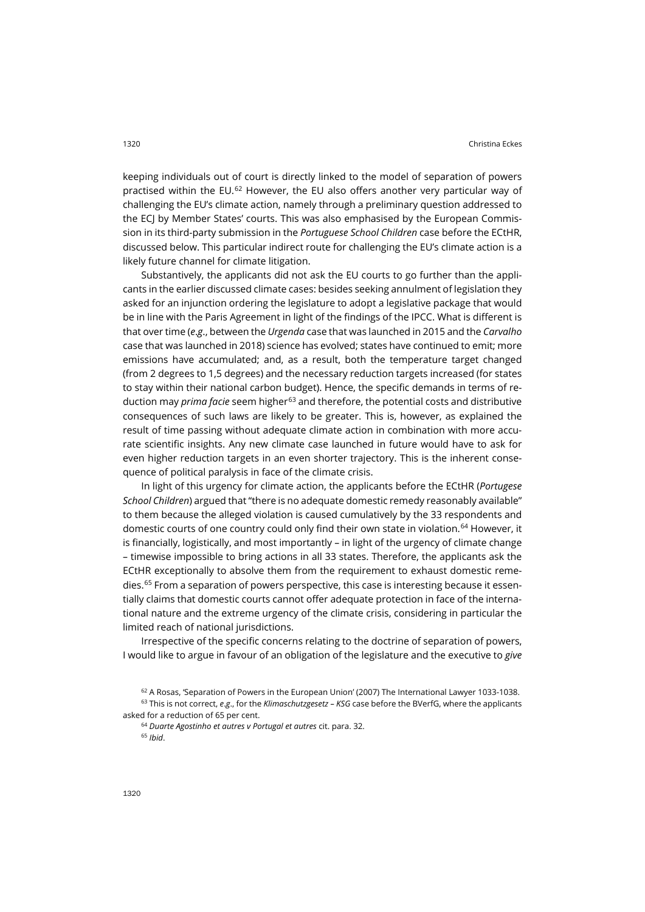keeping individuals out of court is directly linked to the model of separation of powers practised within the EU.[62](#page-14-0) However, the EU also offers another very particular way of challenging the EU's climate action, namely through a preliminary question addressed to the ECJ by Member States' courts. This was also emphasised by the European Commission in its third-party submission in the *Portuguese School Children* case before the ECtHR, discussed below. This particular indirect route for challenging the EU's climate action is a likely future channel for climate litigation.

Substantively, the applicants did not ask the EU courts to go further than the applicants in the earlier discussed climate cases: besides seeking annulment of legislation they asked for an injunction ordering the legislature to adopt a legislative package that would be in line with the Paris Agreement in light of the findings of the IPCC. What is different is that over time (*e*.*g*., between the *Urgenda* case that was launched in 2015 and the *Carvalho* case that was launched in 2018) science has evolved; states have continued to emit; more emissions have accumulated; and, as a result, both the temperature target changed (from 2 degrees to 1,5 degrees) and the necessary reduction targets increased (for states to stay within their national carbon budget). Hence, the specific demands in terms of reduction may *prima facie* seem higher[63](#page-14-1) and therefore, the potential costs and distributive consequences of such laws are likely to be greater. This is, however, as explained the result of time passing without adequate climate action in combination with more accurate scientific insights. Any new climate case launched in future would have to ask for even higher reduction targets in an even shorter trajectory. This is the inherent consequence of political paralysis in face of the climate crisis.

In light of this urgency for climate action, the applicants before the ECtHR (*Portugese School Children*) argued that "there is no adequate domestic remedy reasonably available" to them because the alleged violation is caused cumulatively by the 33 respondents and domestic courts of one country could only find their own state in violation.[64](#page-14-2) However, it is financially, logistically, and most importantly – in light of the urgency of climate change – timewise impossible to bring actions in all 33 states. Therefore, the applicants ask the ECtHR exceptionally to absolve them from the requirement to exhaust domestic remedies. [65](#page-14-3) From a separation of powers perspective, this case is interesting because it essentially claims that domestic courts cannot offer adequate protection in face of the international nature and the extreme urgency of the climate crisis, considering in particular the limited reach of national jurisdictions.

Irrespective of the specific concerns relating to the doctrine of separation of powers, I would like to argue in favour of an obligation of the legislature and the executive to *give* 

<sup>&</sup>lt;sup>62</sup> A Rosas, 'Separation of Powers in the European Union' (2007) The International Lawyer 1033-1038.

<span id="page-14-3"></span><span id="page-14-2"></span><span id="page-14-1"></span><span id="page-14-0"></span><sup>63</sup> This is not correct, *e*.*g*., for the *Klimaschutzgesetz – KSG* case before the BVerfG, where the applicants asked for a reduction of 65 per cent.

<sup>64</sup> *Duarte Agostinho et autres v Portugal et autres* cit. para. 32. <sup>65</sup> *Ibid*.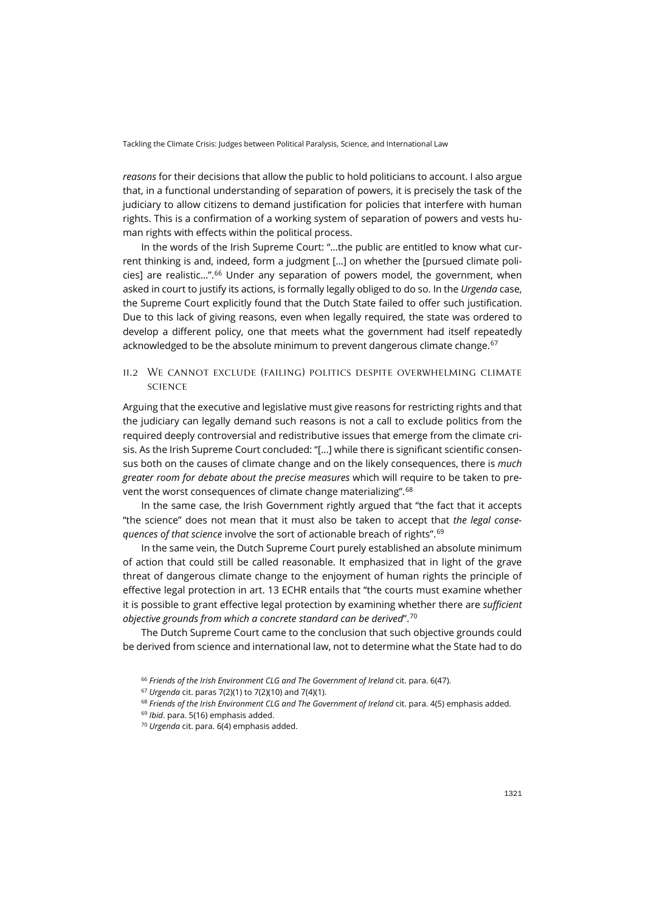Tackling the Climate Crisis: Judges between Political Paralysis, Science, and International Law

*reasons* for their decisions that allow the public to hold politicians to account. I also argue that, in a functional understanding of separation of powers, it is precisely the task of the judiciary to allow citizens to demand justification for policies that interfere with human rights. This is a confirmation of a working system of separation of powers and vests human rights with effects within the political process.

In the words of the Irish Supreme Court: "…the public are entitled to know what current thinking is and, indeed, form a judgment […] on whether the [pursued climate policies] are realistic…". [66](#page-15-0) Under any separation of powers model, the government, when asked in court to justify its actions, is formally legally obliged to do so. In the *Urgenda* case, the Supreme Court explicitly found that the Dutch State failed to offer such justification. Due to this lack of giving reasons, even when legally required, the state was ordered to develop a different policy, one that meets what the government had itself repeatedly acknowledged to be the absolute minimum to prevent dangerous climate change.<sup>[67](#page-15-1)</sup>

### ii.2 We cannot exclude (failing) politics despite overwhelming climate **SCIENCE**

Arguing that the executive and legislative must give reasons for restricting rights and that the judiciary can legally demand such reasons is not a call to exclude politics from the required deeply controversial and redistributive issues that emerge from the climate crisis. As the Irish Supreme Court concluded: "[…] while there is significant scientific consensus both on the causes of climate change and on the likely consequences, there is *much greater room for debate about the precise measures* which will require to be taken to prevent the worst consequences of climate change materializing". [68](#page-15-2)

In the same case, the Irish Government rightly argued that "the fact that it accepts "the science" does not mean that it must also be taken to accept that *the legal consequences of that science* involve the sort of actionable breach of rights". [69](#page-15-3)

In the same vein, the Dutch Supreme Court purely established an absolute minimum of action that could still be called reasonable. It emphasized that in light of the grave threat of dangerous climate change to the enjoyment of human rights the principle of effective legal protection in art. 13 ECHR entails that "the courts must examine whether it is possible to grant effective legal protection by examining whether there are *sufficient objective grounds from which a concrete standard can be derived*". [70](#page-15-4)

<span id="page-15-1"></span><span id="page-15-0"></span>The Dutch Supreme Court came to the conclusion that such objective grounds could be derived from science and international law, not to determine what the State had to do

<sup>66</sup> *Friends of the Irish Environment CLG and The Government of Ireland* cit. para. 6(47).

<sup>67</sup> *Urgenda* cit. paras 7(2)(1) to 7(2)(10) and 7(4)(1).

<span id="page-15-2"></span><sup>&</sup>lt;sup>68</sup> Friends of the Irish Environment CLG and The Government of Ireland cit. para. 4(5) emphasis added.

<span id="page-15-3"></span><sup>69</sup> *Ibid*. para. 5(16) emphasis added.

<span id="page-15-4"></span><sup>70</sup> *Urgenda* cit. para. 6(4) emphasis added.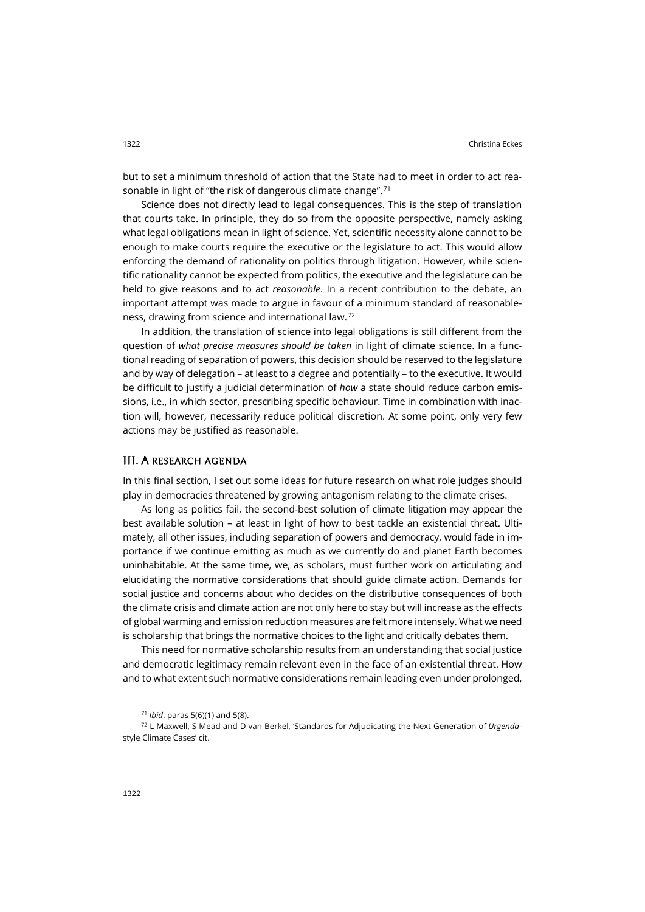but to set a minimum threshold of action that the State had to meet in order to act reasonable in light of "the risk of dangerous climate change". [71](#page-16-0)

Science does not directly lead to legal consequences. This is the step of translation that courts take. In principle, they do so from the opposite perspective, namely asking what legal obligations mean in light of science. Yet, scientific necessity alone cannot to be enough to make courts require the executive or the legislature to act. This would allow enforcing the demand of rationality on politics through litigation. However, while scientific rationality cannot be expected from politics, the executive and the legislature can be held to give reasons and to act *reasonable*. In a recent contribution to the debate, an important attempt was made to argue in favour of a minimum standard of reasonableness, drawing from science and international law.[72](#page-16-1)

In addition, the translation of science into legal obligations is still different from the question of *what precise measures should be taken* in light of climate science. In a functional reading of separation of powers, this decision should be reserved to the legislature and by way of delegation – at least to a degree and potentially – to the executive. It would be difficult to justify a judicial determination of *how* a state should reduce carbon emissions, i.e., in which sector, prescribing specific behaviour. Time in combination with inaction will, however, necessarily reduce political discretion. At some point, only very few actions may be justified as reasonable.

#### III. A research agenda

In this final section, I set out some ideas for future research on what role judges should play in democracies threatened by growing antagonism relating to the climate crises.

As long as politics fail, the second-best solution of climate litigation may appear the best available solution – at least in light of how to best tackle an existential threat. Ultimately, all other issues, including separation of powers and democracy, would fade in importance if we continue emitting as much as we currently do and planet Earth becomes uninhabitable. At the same time, we, as scholars, must further work on articulating and elucidating the normative considerations that should guide climate action. Demands for social justice and concerns about who decides on the distributive consequences of both the climate crisis and climate action are not only here to stay but will increase as the effects of global warming and emission reduction measures are felt more intensely. What we need is scholarship that brings the normative choices to the light and critically debates them.

This need for normative scholarship results from an understanding that social justice and democratic legitimacy remain relevant even in the face of an existential threat. How and to what extent such normative considerations remain leading even under prolonged,

<span id="page-16-1"></span><span id="page-16-0"></span><sup>72</sup> L Maxwell, S Mead and D van Berkel, 'Standards for Adjudicating the Next Generation of *Urgenda*style Climate Cases' cit.

<sup>71</sup> *Ibid*. paras 5(6)(1) and 5(8).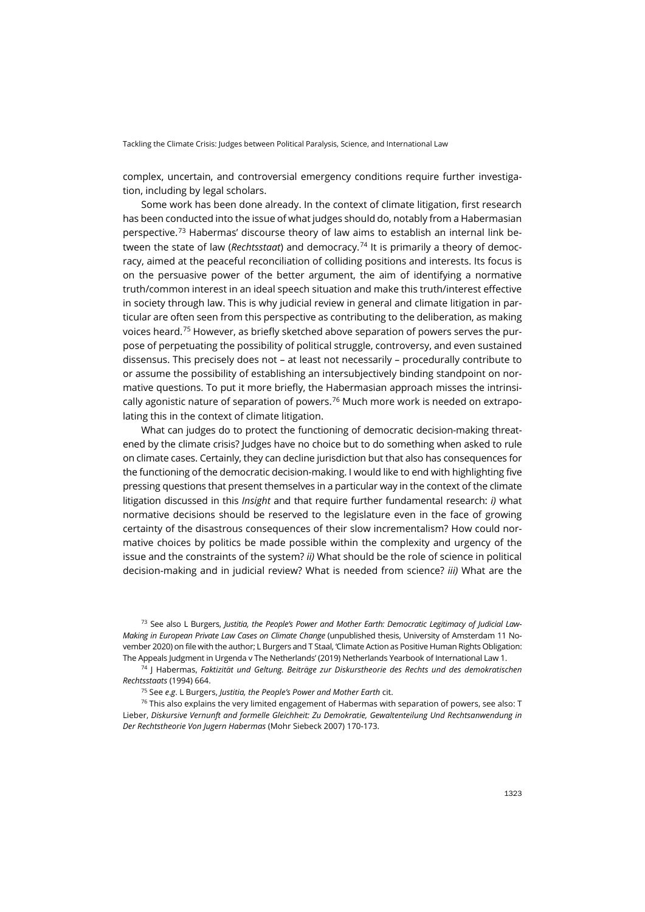complex, uncertain, and controversial emergency conditions require further investigation, including by legal scholars.

Some work has been done already. In the context of climate litigation, first research has been conducted into the issue of what judges should do, notably from a Habermasian perspective.[73](#page-17-0) Habermas' discourse theory of law aims to establish an internal link between the state of law (*Rechtsstaat*) and democracy.[74](#page-17-1) It is primarily a theory of democracy, aimed at the peaceful reconciliation of colliding positions and interests. Its focus is on the persuasive power of the better argument, the aim of identifying a normative truth/common interest in an ideal speech situation and make this truth/interest effective in society through law. This is why judicial review in general and climate litigation in particular are often seen from this perspective as contributing to the deliberation, as making voices heard.[75](#page-17-2) However, as briefly sketched above separation of powers serves the purpose of perpetuating the possibility of political struggle, controversy, and even sustained dissensus. This precisely does not – at least not necessarily – procedurally contribute to or assume the possibility of establishing an intersubjectively binding standpoint on normative questions. To put it more briefly, the Habermasian approach misses the intrinsi-cally agonistic nature of separation of powers.<sup>[76](#page-17-3)</sup> Much more work is needed on extrapolating this in the context of climate litigation.

What can judges do to protect the functioning of democratic decision-making threatened by the climate crisis? Judges have no choice but to do something when asked to rule on climate cases. Certainly, they can decline jurisdiction but that also has consequences for the functioning of the democratic decision-making. I would like to end with highlighting five pressing questions that present themselves in a particular way in the context of the climate litigation discussed in this *Insight* and that require further fundamental research: *i)* what normative decisions should be reserved to the legislature even in the face of growing certainty of the disastrous consequences of their slow incrementalism? How could normative choices by politics be made possible within the complexity and urgency of the issue and the constraints of the system? *ii)* What should be the role of science in political decision-making and in judicial review? What is needed from science? *iii)* What are the

<span id="page-17-0"></span><sup>73</sup> See also L Burgers, *Justitia, the People's Power and Mother Earth: Democratic Legitimacy of Judicial Law-Making in European Private Law Cases on Climate Change* (unpublished thesis, University of Amsterdam 11 November 2020) on file with the author; L Burgers and T Staal, 'Climate Action as Positive Human Rights Obligation: The Appeals Judgment in Urgenda v The Netherlands' (2019) Netherlands Yearbook of International Law 1.

<span id="page-17-1"></span><sup>74</sup> J Habermas, *Faktizität und Geltung. Beiträge zur Diskurstheorie des Rechts und des demokratischen Rechtsstaats* (1994) 664.

<sup>75</sup> See *e*.*g*. L Burgers, *Justitia, the People's Power and Mother Earth* cit.

<span id="page-17-3"></span><span id="page-17-2"></span> $76$  This also explains the very limited engagement of Habermas with separation of powers, see also: T Lieber, *Diskursive Vernunft and formelle Gleichheit: Zu Demokratie, Gewaltenteilung Und Rechtsanwendung in Der Rechtstheorie Von Jugern Habermas* (Mohr Siebeck 2007) 170-173.